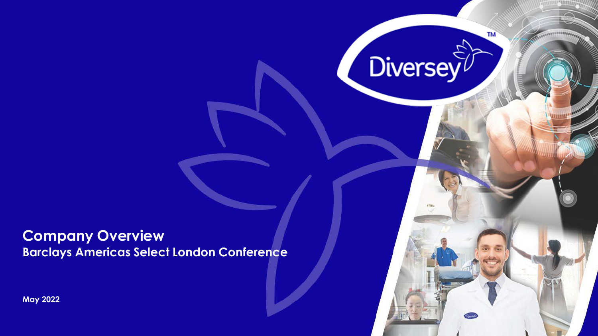**Company Overview Barclays Americas Select London Conference** TM

**Diversey** 

**May 2022**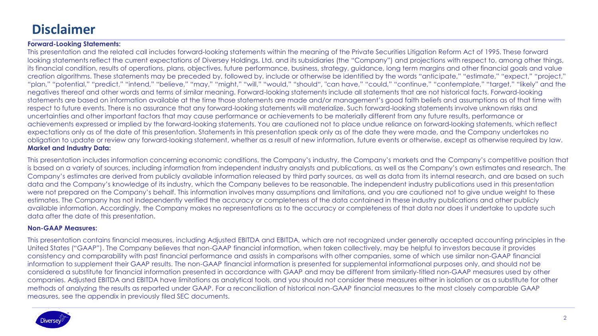## **Disclaimer**

#### **Forward-Looking Statements:**

This presentation and the related call includes forward-looking statements within the meaning of the Private Securities Litigation Reform Act of 1995. These forward looking statements reflect the current expectations of Diversey Holdings, Ltd. and its subsidiaries (the "Company") and projections with respect to, among other things, its financial condition, results of operations, plans, objectives, future performance, business, strategy, guidance, long term margins and other financial goals and value creation algorithms. These statements may be preceded by, followed by, include or otherwise be identified by the words "anticipate," "estimate," "expect," "project," "plan," "potential," "predict," "intend," "believe," "may," "might," "will," "would," "should", "can have," "could," "continue," "contemplate," "target," "likely" and the negatives thereof and other words and terms of similar meaning. Forward-looking statements include all statements that are not historical facts. Forward-looking statements are based on information available at the time those statements are made and/or management's good faith beliefs and assumptions as of that time with respect to future events. There is no assurance that any forward-looking statements will materialize. Such forward-looking statements involve unknown risks and uncertainties and other important factors that may cause performance or achievements to be materially different from any future results, performance or achievements expressed or implied by the forward-looking statements. You are cautioned not to place undue reliance on forward-looking statements, which reflect expectations only as of the date of this presentation. Statements in this presentation speak only as of the date they were made, and the Company undertakes no obligation to update or review any forward-looking statement, whether as a result of new information, future events or otherwise, except as otherwise required by law. **Market and Industry Data:**

This presentation includes information concerning economic conditions, the Company's industry, the Company's markets and the Company's competitive position that is based on a variety of sources, including information from independent industry analysts and publications, as well as the Company's own estimates and research. The Company's estimates are derived from publicly available information released by third party sources, as well as data from its internal research, and are based on such data and the Company's knowledge of its industry, which the Company believes to be reasonable. The independent industry publications used in this presentation were not prepared on the Company's behalf. This information involves many assumptions and limitations, and you are cautioned not to give undue weight to these estimates. The Company has not independently verified the accuracy or completeness of the data contained in these industry publications and other publicly available information. Accordingly, the Company makes no representations as to the accuracy or completeness of that data nor does it undertake to update such data after the date of this presentation.

#### **Non-GAAP Measures:**

This presentation contains financial measures, including Adjusted EBITDA and EBITDA, which are not recognized under generally accepted accounting principles in the United States ("GAAP"). The Company believes that non-GAAP financial information, when taken collectively, may be helpful to investors because it provides consistency and comparability with past financial performance and assists in comparisons with other companies, some of which use similar non-GAAP financial information to supplement their GAAP results. The non-GAAP financial information is presented for supplemental informational purposes only, and should not be considered a substitute for financial information presented in accordance with GAAP and may be different from similarly-titled non-GAAP measures used by other companies. Adjusted EBITDA and EBITDA have limitations as analytical tools, and you should not consider these measures either in isolation or as a substitute for other methods of analyzing the results as reported under GAAP. For a reconciliation of historical non-GAAP financial measures to the most closely comparable GAAP measures, see the appendix in previously filed SEC documents.

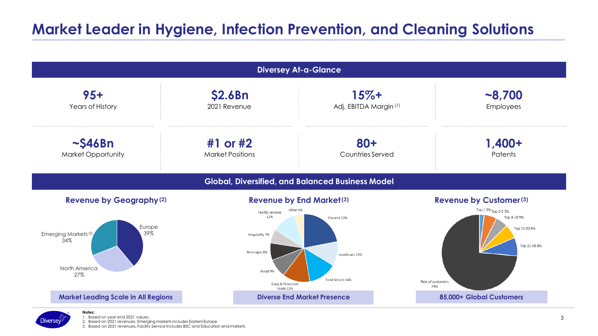# **Market Leader in Hygiene, Infection Prevention, and Cleaning Solutions**





1. Based on year end 2021 values.

2. Based on 2021 revenues. Emerging markets includes EasternEurope

3. Based on 2021 revenues, Facility Service includes BSC and Education end markets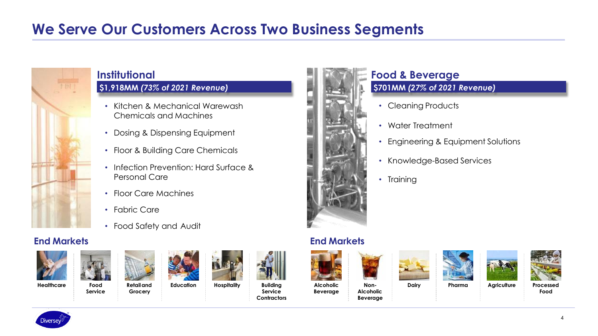# **We Serve Our Customers Across Two Business Segments**



## **Institutional**

## **\$1,918MM** *(73% of 2021 Revenue)*

- Kitchen & Mechanical Warewash Chemicals and Machines
- Dosing & Dispensing Equipment
- Floor & Building Care Chemicals
- Infection Prevention: Hard Surface & Personal Care
- Floor Care Machines
- Fabric Care
- Food Safety and Audit

### **End Markets End Markets**





**Service**



**Grocery**







**Service Contractors**



#### **\$701MM** *(27% of 2021 Revenue)* **Food & Beverage**

- Cleaning Products
- Water Treatment
- Engineering & Equipment Solutions
- Knowledge-Based Services
- Training

**Beverage**





**Alcoholic Beverage**









**Food**

4

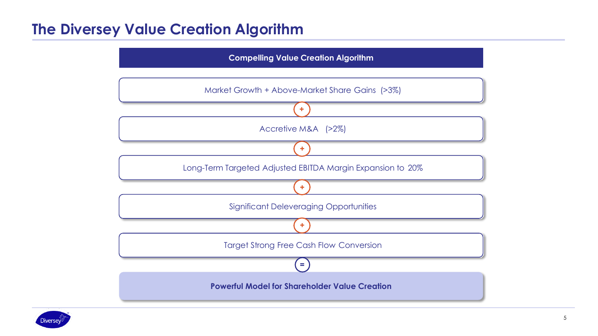## **The Diversey Value Creation Algorithm**

**Compelling Value Creation Algorithm**